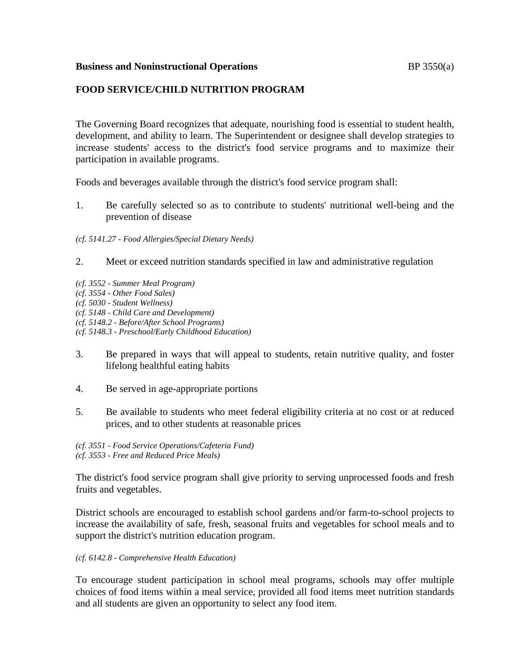## **Business and Noninstructional Operations BP** 3550(a)

# **FOOD SERVICE/CHILD NUTRITION PROGRAM**

The Governing Board recognizes that adequate, nourishing food is essential to student health, development, and ability to learn. The Superintendent or designee shall develop strategies to increase students' access to the district's food service programs and to maximize their participation in available programs.

Foods and beverages available through the district's food service program shall:

1. Be carefully selected so as to contribute to students' nutritional well-being and the prevention of disease

*(cf. 5141.27 - Food Allergies/Special Dietary Needs)*

- 2. Meet or exceed nutrition standards specified in law and administrative regulation
- *(cf. 3552 - Summer Meal Program)*
- *(cf. 3554 - Other Food Sales)*
- *(cf. 5030 - Student Wellness)*
- *(cf. 5148 - Child Care and Development)*
- *(cf. 5148.2 - Before/After School Programs)*
- *(cf. 5148.3 - Preschool/Early Childhood Education)*
- 3. Be prepared in ways that will appeal to students, retain nutritive quality, and foster lifelong healthful eating habits
- 4. Be served in age-appropriate portions
- 5. Be available to students who meet federal eligibility criteria at no cost or at reduced prices, and to other students at reasonable prices
- *(cf. 3551 - Food Service Operations/Cafeteria Fund) (cf. 3553 - Free and Reduced Price Meals)*

The district's food service program shall give priority to serving unprocessed foods and fresh fruits and vegetables.

District schools are encouraged to establish school gardens and/or farm-to-school projects to increase the availability of safe, fresh, seasonal fruits and vegetables for school meals and to support the district's nutrition education program.

#### *(cf. 6142.8 - Comprehensive Health Education)*

To encourage student participation in school meal programs, schools may offer multiple choices of food items within a meal service, provided all food items meet nutrition standards and all students are given an opportunity to select any food item.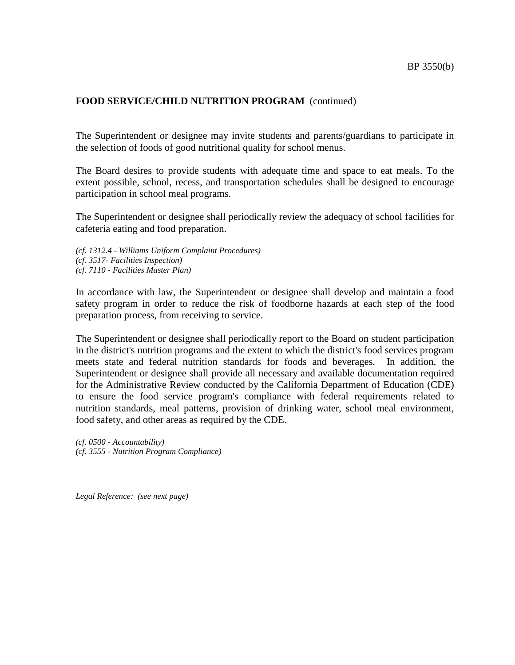## **FOOD SERVICE/CHILD NUTRITION PROGRAM** (continued)

The Superintendent or designee may invite students and parents/guardians to participate in the selection of foods of good nutritional quality for school menus.

The Board desires to provide students with adequate time and space to eat meals. To the extent possible, school, recess, and transportation schedules shall be designed to encourage participation in school meal programs.

The Superintendent or designee shall periodically review the adequacy of school facilities for cafeteria eating and food preparation.

*(cf. 1312.4 - Williams Uniform Complaint Procedures) (cf. 3517- Facilities Inspection)*

*(cf. 7110 - Facilities Master Plan)*

In accordance with law, the Superintendent or designee shall develop and maintain a food safety program in order to reduce the risk of foodborne hazards at each step of the food preparation process, from receiving to service.

The Superintendent or designee shall periodically report to the Board on student participation in the district's nutrition programs and the extent to which the district's food services program meets state and federal nutrition standards for foods and beverages. In addition, the Superintendent or designee shall provide all necessary and available documentation required for the Administrative Review conducted by the California Department of Education (CDE) to ensure the food service program's compliance with federal requirements related to nutrition standards, meal patterns, provision of drinking water, school meal environment, food safety, and other areas as required by the CDE.

*(cf. 0500 - Accountability) (cf. 3555 - Nutrition Program Compliance)*

*Legal Reference: (see next page)*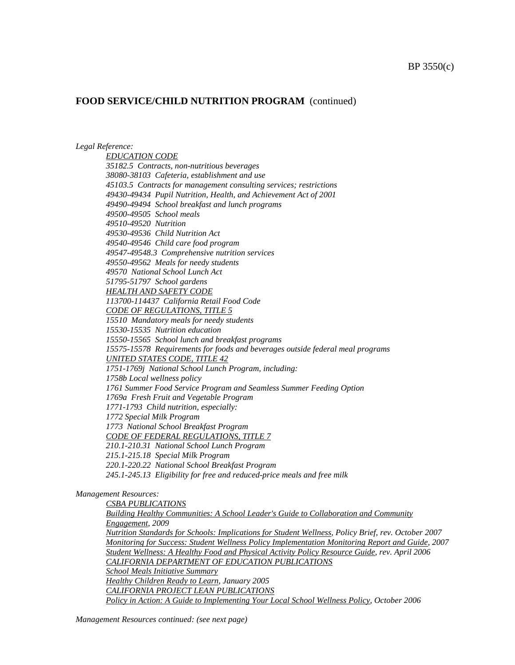#### BP 3550(c)

## **FOOD SERVICE/CHILD NUTRITION PROGRAM** (continued)

#### *Legal Reference:*

*EDUCATION CODE 35182.5 Contracts, non-nutritious beverages 38080-38103 Cafeteria, establishment and use 45103.5 Contracts for management consulting services; restrictions 49430-49434 Pupil Nutrition, Health, and Achievement Act of 2001 49490-49494 School breakfast and lunch programs 49500-49505 School meals 49510-49520 Nutrition 49530-49536 Child Nutrition Act 49540-49546 Child care food program 49547-49548.3 Comprehensive nutrition services 49550-49562 Meals for needy students 49570 National School Lunch Act 51795-51797 School gardens HEALTH AND SAFETY CODE 113700-114437 California Retail Food Code CODE OF REGULATIONS, TITLE 5 15510 Mandatory meals for needy students 15530-15535 Nutrition education 15550-15565 School lunch and breakfast programs 15575-15578 Requirements for foods and beverages outside federal meal programs UNITED STATES CODE, TITLE 42 1751-1769j National School Lunch Program, including: 1758b Local wellness policy 1761 Summer Food Service Program and Seamless Summer Feeding Option 1769a Fresh Fruit and Vegetable Program 1771-1793 Child nutrition, especially: 1772 Special Milk Program 1773 National School Breakfast Program CODE OF FEDERAL REGULATIONS, TITLE 7 210.1-210.31 National School Lunch Program 215.1-215.18 Special Milk Program 220.1-220.22 National School Breakfast Program 245.1-245.13 Eligibility for free and reduced-price meals and free milk*

#### *Management Resources:*

*CSBA PUBLICATIONS Building Healthy Communities: A School Leader's Guide to Collaboration and Community Engagement, 2009 Nutrition Standards for Schools: Implications for Student Wellness, Policy Brief, rev. October 2007 Monitoring for Success: Student Wellness Policy Implementation Monitoring Report and Guide, 2007 Student Wellness: A Healthy Food and Physical Activity Policy Resource Guide, rev. April 2006 CALIFORNIA DEPARTMENT OF EDUCATION PUBLICATIONS School Meals Initiative Summary Healthy Children Ready to Learn*, *January 2005 CALIFORNIA PROJECT LEAN PUBLICATIONS Policy in Action: A Guide to Implementing Your Local School Wellness Policy, October 2006*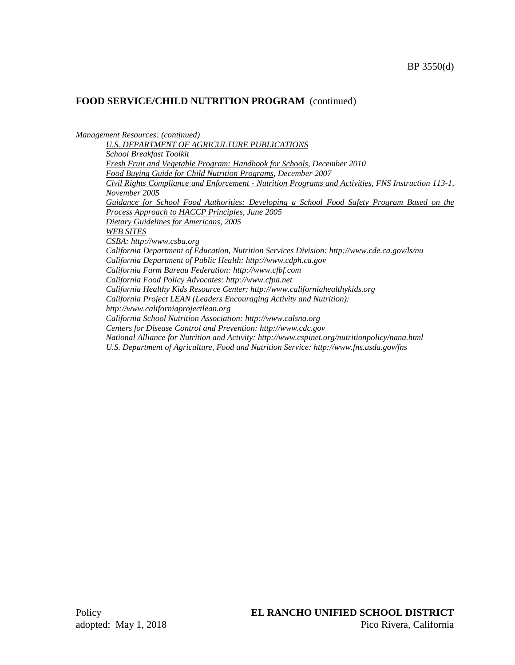## **FOOD SERVICE/CHILD NUTRITION PROGRAM** (continued)

*Management Resources: (continued)*

*U.S. DEPARTMENT OF AGRICULTURE PUBLICATIONS School Breakfast Toolkit Fresh Fruit and Vegetable Program: Handbook for Schools, December 2010 Food Buying Guide for Child Nutrition Programs, December 2007 Civil Rights Compliance and Enforcement - Nutrition Programs and Activities, FNS Instruction 113-1, November 2005 Guidance for School Food Authorities: Developing a School Food Safety Program Based on the Process Approach to HACCP Principles, June 2005 Dietary Guidelines for Americans, 2005 WEB SITES CSBA: http://www.csba.org California Department of Education, Nutrition Services Division: http://www.cde.ca.gov/ls/nu California Department of Public Health: http://www.cdph.ca.gov California Farm Bureau Federation: http://www.cfbf.com California Food Policy Advocates: http://www.cfpa.net California Healthy Kids Resource Center: http://www.californiahealthykids.org California Project LEAN (Leaders Encouraging Activity and Nutrition): http://www.californiaprojectlean.org California School Nutrition Association: http://www.calsna.org Centers for Disease Control and Prevention: http://www.cdc.gov National Alliance for Nutrition and Activity: http://www.cspinet.org/nutritionpolicy/nana.html U.S. Department of Agriculture, Food and Nutrition Service: http://www.fns.usda.gov/fns*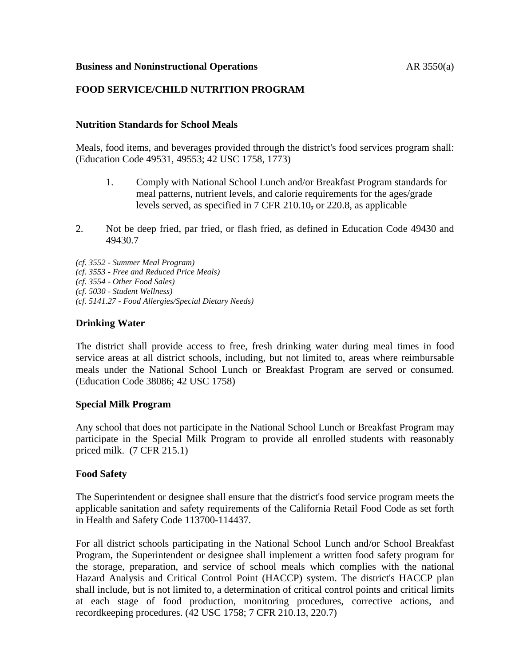## **Business and Noninstructional Operations** AR 3550(a)

## **FOOD SERVICE/CHILD NUTRITION PROGRAM**

## **Nutrition Standards for School Meals**

Meals, food items, and beverages provided through the district's food services program shall: (Education Code 49531, 49553; 42 USC 1758, 1773)

- 1. Comply with National School Lunch and/or Breakfast Program standards for meal patterns, nutrient levels, and calorie requirements for the ages/grade levels served, as specified in 7 CFR 210.10, or 220.8, as applicable
- 2. Not be deep fried, par fried, or flash fried, as defined in Education Code 49430 and 49430.7

*(cf. 3552 - Summer Meal Program) (cf. 3553 - Free and Reduced Price Meals) (cf. 3554 - Other Food Sales) (cf. 5030 - Student Wellness) (cf. 5141.27 - Food Allergies/Special Dietary Needs)*

## **Drinking Water**

The district shall provide access to free, fresh drinking water during meal times in food service areas at all district schools, including, but not limited to, areas where reimbursable meals under the National School Lunch or Breakfast Program are served or consumed. (Education Code 38086; 42 USC 1758)

#### **Special Milk Program**

Any school that does not participate in the National School Lunch or Breakfast Program may participate in the Special Milk Program to provide all enrolled students with reasonably priced milk. (7 CFR 215.1)

## **Food Safety**

The Superintendent or designee shall ensure that the district's food service program meets the applicable sanitation and safety requirements of the California Retail Food Code as set forth in Health and Safety Code 113700-114437.

For all district schools participating in the National School Lunch and/or School Breakfast Program, the Superintendent or designee shall implement a written food safety program for the storage, preparation, and service of school meals which complies with the national Hazard Analysis and Critical Control Point (HACCP) system. The district's HACCP plan shall include, but is not limited to, a determination of critical control points and critical limits at each stage of food production, monitoring procedures, corrective actions, and recordkeeping procedures. (42 USC 1758; 7 CFR 210.13, 220.7)